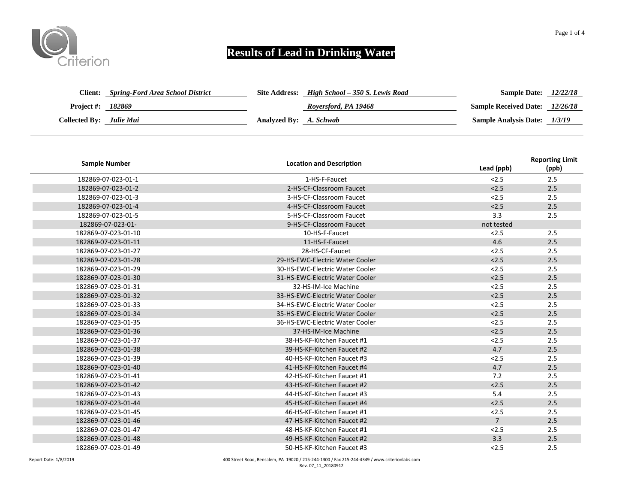

|                          | <b>Client:</b> Spring-Ford Area School District |                        | Site Address: High School – 350 S. Lewis Road | <b>Sample Date:</b> 12/22/18          |  |
|--------------------------|-------------------------------------------------|------------------------|-----------------------------------------------|---------------------------------------|--|
| <b>Project #: 182869</b> |                                                 |                        | Royersford, PA 19468                          | <b>Sample Received Date:</b> 12/26/18 |  |
| Collected By: Julie Mui  |                                                 | Analyzed By: A. Schwab |                                               | <b>Sample Analysis Date:</b> 1/3/19   |  |

| <b>Sample Number</b> | <b>Location and Description</b> | Lead (ppb)     | <b>Reporting Limit</b><br>(ppb) |
|----------------------|---------------------------------|----------------|---------------------------------|
| 182869-07-023-01-1   | 1-HS-F-Faucet                   | < 2.5          | 2.5                             |
| 182869-07-023-01-2   | 2-HS-CF-Classroom Faucet        | < 2.5          | 2.5                             |
| 182869-07-023-01-3   | 3-HS-CF-Classroom Faucet        | < 2.5          | 2.5                             |
| 182869-07-023-01-4   | 4-HS-CF-Classroom Faucet        | < 2.5          | 2.5                             |
| 182869-07-023-01-5   | 5-HS-CF-Classroom Faucet        | 3.3            | 2.5                             |
| 182869-07-023-01-    | 9-HS-CF-Classroom Faucet        | not tested     |                                 |
| 182869-07-023-01-10  | 10-HS-F-Faucet                  | < 2.5          | 2.5                             |
| 182869-07-023-01-11  | 11-HS-F-Faucet                  | 4.6            | 2.5                             |
| 182869-07-023-01-27  | 28-HS-CF-Faucet                 | < 2.5          | 2.5                             |
| 182869-07-023-01-28  | 29-HS-EWC-Electric Water Cooler | < 2.5          | 2.5                             |
| 182869-07-023-01-29  | 30-HS-EWC-Electric Water Cooler | < 2.5          | 2.5                             |
| 182869-07-023-01-30  | 31-HS-EWC-Electric Water Cooler | < 2.5          | 2.5                             |
| 182869-07-023-01-31  | 32-HS-IM-Ice Machine            | < 2.5          | 2.5                             |
| 182869-07-023-01-32  | 33-HS-EWC-Electric Water Cooler | < 2.5          | 2.5                             |
| 182869-07-023-01-33  | 34-HS-EWC-Electric Water Cooler | < 2.5          | 2.5                             |
| 182869-07-023-01-34  | 35-HS-EWC-Electric Water Cooler | < 2.5          | 2.5                             |
| 182869-07-023-01-35  | 36-HS-EWC-Electric Water Cooler | < 2.5          | 2.5                             |
| 182869-07-023-01-36  | 37-HS-IM-Ice Machine            | < 2.5          | 2.5                             |
| 182869-07-023-01-37  | 38-HS-KF-Kitchen Faucet #1      | < 2.5          | 2.5                             |
| 182869-07-023-01-38  | 39-HS-KF-Kitchen Faucet #2      | 4.7            | 2.5                             |
| 182869-07-023-01-39  | 40-HS-KF-Kitchen Faucet #3      | < 2.5          | 2.5                             |
| 182869-07-023-01-40  | 41-HS-KF-Kitchen Faucet #4      | 4.7            | 2.5                             |
| 182869-07-023-01-41  | 42-HS-KF-Kitchen Faucet #1      | 7.2            | 2.5                             |
| 182869-07-023-01-42  | 43-HS-KF-Kitchen Faucet #2      | < 2.5          | 2.5                             |
| 182869-07-023-01-43  | 44-HS-KF-Kitchen Faucet #3      | 5.4            | 2.5                             |
| 182869-07-023-01-44  | 45-HS-KF-Kitchen Faucet #4      | < 2.5          | 2.5                             |
| 182869-07-023-01-45  | 46-HS-KF-Kitchen Faucet #1      | < 2.5          | 2.5                             |
| 182869-07-023-01-46  | 47-HS-KF-Kitchen Faucet #2      | $\overline{7}$ | 2.5                             |
| 182869-07-023-01-47  | 48-HS-KF-Kitchen Faucet #1      | < 2.5          | 2.5                             |
| 182869-07-023-01-48  | 49-HS-KF-Kitchen Faucet #2      | 3.3            | 2.5                             |
| 182869-07-023-01-49  | 50-HS-KF-Kitchen Faucet #3      | < 2.5          | 2.5                             |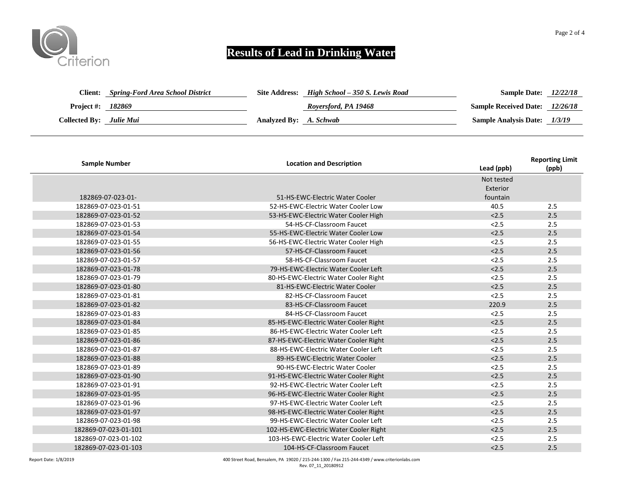

| <b>Client:</b>          | Spring-Ford Area School District |                        | Site Address: High School – 350 S. Lewis Road | <b>Sample Date:</b>                   | 12/22/18 |
|-------------------------|----------------------------------|------------------------|-----------------------------------------------|---------------------------------------|----------|
| Project #:              | 182869                           |                        | Royersford, PA 19468                          | <b>Sample Received Date:</b> 12/26/18 |          |
| Collected By: Julie Mui |                                  | Analyzed By: A. Schwab |                                               | <b>Sample Analysis Date:</b> 1/3/19   |          |

| <b>Sample Number</b> | <b>Location and Description</b>        | Lead (ppb) | <b>Reporting Limit</b><br>(ppb) |
|----------------------|----------------------------------------|------------|---------------------------------|
|                      |                                        | Not tested |                                 |
|                      |                                        | Exterior   |                                 |
| 182869-07-023-01-    | 51-HS-EWC-Electric Water Cooler        | fountain   |                                 |
| 182869-07-023-01-51  | 52-HS-EWC-Electric Water Cooler Low    | 40.5       | 2.5                             |
| 182869-07-023-01-52  | 53-HS-EWC-Electric Water Cooler High   | < 2.5      | 2.5                             |
| 182869-07-023-01-53  | 54-HS-CF-Classroom Faucet              | 2.5        | 2.5                             |
| 182869-07-023-01-54  | 55-HS-EWC-Electric Water Cooler Low    | < 2.5      | 2.5                             |
| 182869-07-023-01-55  | 56-HS-EWC-Electric Water Cooler High   | 2.5        | 2.5                             |
| 182869-07-023-01-56  | 57-HS-CF-Classroom Faucet              | 2.5        | 2.5                             |
| 182869-07-023-01-57  | 58-HS-CF-Classroom Faucet              | 2.5        | 2.5                             |
| 182869-07-023-01-78  | 79-HS-EWC-Electric Water Cooler Left   | < 2.5      | 2.5                             |
| 182869-07-023-01-79  | 80-HS-EWC-Electric Water Cooler Right  | < 2.5      | 2.5                             |
| 182869-07-023-01-80  | 81-HS-EWC-Electric Water Cooler        | < 2.5      | 2.5                             |
| 182869-07-023-01-81  | 82-HS-CF-Classroom Faucet              | < 2.5      | 2.5                             |
| 182869-07-023-01-82  | 83-HS-CF-Classroom Faucet              | 220.9      | 2.5                             |
| 182869-07-023-01-83  | 84-HS-CF-Classroom Faucet              | < 2.5      | 2.5                             |
| 182869-07-023-01-84  | 85-HS-EWC-Electric Water Cooler Right  | < 2.5      | 2.5                             |
| 182869-07-023-01-85  | 86-HS-EWC-Electric Water Cooler Left   | < 2.5      | 2.5                             |
| 182869-07-023-01-86  | 87-HS-EWC-Electric Water Cooler Right  | < 2.5      | 2.5                             |
| 182869-07-023-01-87  | 88-HS-EWC-Electric Water Cooler Left   | < 2.5      | 2.5                             |
| 182869-07-023-01-88  | 89-HS-EWC-Electric Water Cooler        | < 2.5      | 2.5                             |
| 182869-07-023-01-89  | 90-HS-EWC-Electric Water Cooler        | 2.5        | 2.5                             |
| 182869-07-023-01-90  | 91-HS-EWC-Electric Water Cooler Right  | < 2.5      | 2.5                             |
| 182869-07-023-01-91  | 92-HS-EWC-Electric Water Cooler Left   | < 2.5      | 2.5                             |
| 182869-07-023-01-95  | 96-HS-EWC-Electric Water Cooler Right  | < 2.5      | 2.5                             |
| 182869-07-023-01-96  | 97-HS-EWC-Electric Water Cooler Left   | 2.5        | 2.5                             |
| 182869-07-023-01-97  | 98-HS-EWC-Electric Water Cooler Right  | < 2.5      | 2.5                             |
| 182869-07-023-01-98  | 99-HS-EWC-Electric Water Cooler Left   | < 2.5      | 2.5                             |
| 182869-07-023-01-101 | 102-HS-EWC-Electric Water Cooler Right | < 2.5      | 2.5                             |
| 182869-07-023-01-102 | 103-HS-EWC-Electric Water Cooler Left  | < 2.5      | 2.5                             |
| 182869-07-023-01-103 | 104-HS-CF-Classroom Faucet             | < 2.5      | 2.5                             |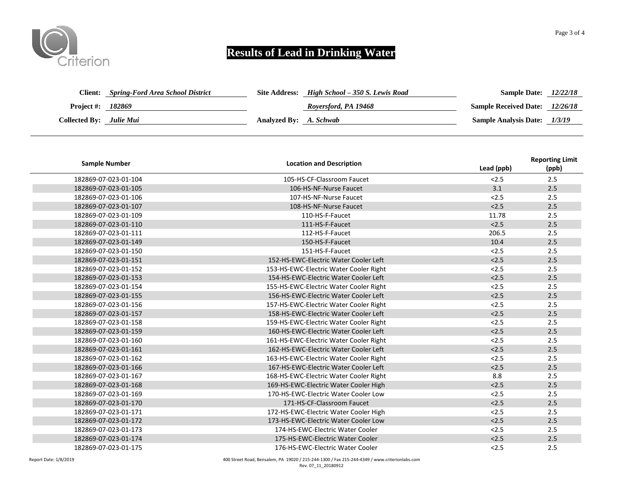

| <b>Client:</b>                 | <b>Spring-Ford Area School District</b> |                        | Site Address: High School – 350 S. Lewis Road | <b>Sample Date:</b> 12/22/18          |  |
|--------------------------------|-----------------------------------------|------------------------|-----------------------------------------------|---------------------------------------|--|
| <b>Project #: 182869</b>       |                                         |                        | Royersford, PA 19468                          | <b>Sample Received Date:</b> 12/26/18 |  |
| <b>Collected By:</b> Julie Mui |                                         | Analyzed By: A. Schwab |                                               | <b>Sample Analysis Date:</b> 1/3/19   |  |

| <b>Sample Number</b> | <b>Location and Description</b>        | Lead (ppb) | <b>Reporting Limit</b><br>(ppb) |
|----------------------|----------------------------------------|------------|---------------------------------|
| 182869-07-023-01-104 | 105-HS-CF-Classroom Faucet             | < 2.5      | 2.5                             |
| 182869-07-023-01-105 | 106-HS-NF-Nurse Faucet                 | 3.1        | 2.5                             |
| 182869-07-023-01-106 | 107-HS-NF-Nurse Faucet                 | < 2.5      | 2.5                             |
| 182869-07-023-01-107 | 108-HS-NF-Nurse Faucet                 | < 2.5      | 2.5                             |
| 182869-07-023-01-109 | 110-HS-F-Faucet                        | 11.78      | 2.5                             |
| 182869-07-023-01-110 | 111-HS-F-Faucet                        | < 2.5      | 2.5                             |
| 182869-07-023-01-111 | 112-HS-F-Faucet                        | 206.5      | 2.5                             |
| 182869-07-023-01-149 | 150-HS-F-Faucet                        | 10.4       | 2.5                             |
| 182869-07-023-01-150 | 151-HS-F-Faucet                        | < 2.5      | 2.5                             |
| 182869-07-023-01-151 | 152-HS-EWC-Electric Water Cooler Left  | < 2.5      | 2.5                             |
| 182869-07-023-01-152 | 153-HS-EWC-Electric Water Cooler Right | < 2.5      | 2.5                             |
| 182869-07-023-01-153 | 154-HS-EWC-Electric Water Cooler Left  | < 2.5      | 2.5                             |
| 182869-07-023-01-154 | 155-HS-EWC-Electric Water Cooler Right | < 2.5      | 2.5                             |
| 182869-07-023-01-155 | 156-HS-EWC-Electric Water Cooler Left  | < 2.5      | 2.5                             |
| 182869-07-023-01-156 | 157-HS-EWC-Electric Water Cooler Right | < 2.5      | 2.5                             |
| 182869-07-023-01-157 | 158-HS-EWC-Electric Water Cooler Left  | < 2.5      | 2.5                             |
| 182869-07-023-01-158 | 159-HS-EWC-Electric Water Cooler Right | < 2.5      | 2.5                             |
| 182869-07-023-01-159 | 160-HS-EWC-Electric Water Cooler Left  | < 2.5      | 2.5                             |
| 182869-07-023-01-160 | 161-HS-EWC-Electric Water Cooler Right | < 2.5      | 2.5                             |
| 182869-07-023-01-161 | 162-HS-EWC-Electric Water Cooler Left  | < 2.5      | 2.5                             |
| 182869-07-023-01-162 | 163-HS-EWC-Electric Water Cooler Right | < 2.5      | 2.5                             |
| 182869-07-023-01-166 | 167-HS-EWC-Electric Water Cooler Left  | < 2.5      | 2.5                             |
| 182869-07-023-01-167 | 168-HS-EWC-Electric Water Cooler Right | 8.8        | 2.5                             |
| 182869-07-023-01-168 | 169-HS-EWC-Electric Water Cooler High  | < 2.5      | 2.5                             |
| 182869-07-023-01-169 | 170-HS-EWC-Electric Water Cooler Low   | < 2.5      | 2.5                             |
| 182869-07-023-01-170 | 171-HS-CF-Classroom Faucet             | < 2.5      | 2.5                             |
| 182869-07-023-01-171 | 172-HS-EWC-Electric Water Cooler High  | < 2.5      | 2.5                             |
| 182869-07-023-01-172 | 173-HS-EWC-Electric Water Cooler Low   | < 2.5      | 2.5                             |
| 182869-07-023-01-173 | 174-HS-EWC-Electric Water Cooler       | < 2.5      | 2.5                             |
| 182869-07-023-01-174 | 175-HS-EWC-Electric Water Cooler       | < 2.5      | 2.5                             |
| 182869-07-023-01-175 | 176-HS-EWC-Electric Water Cooler       | 2.5        | 2.5                             |

Report Date: 1/8/2019 400 Street Road, Bensalem, PA 19020 / 215-244-1300 / Fax 215-244-4349 / www.criterionlabs.com